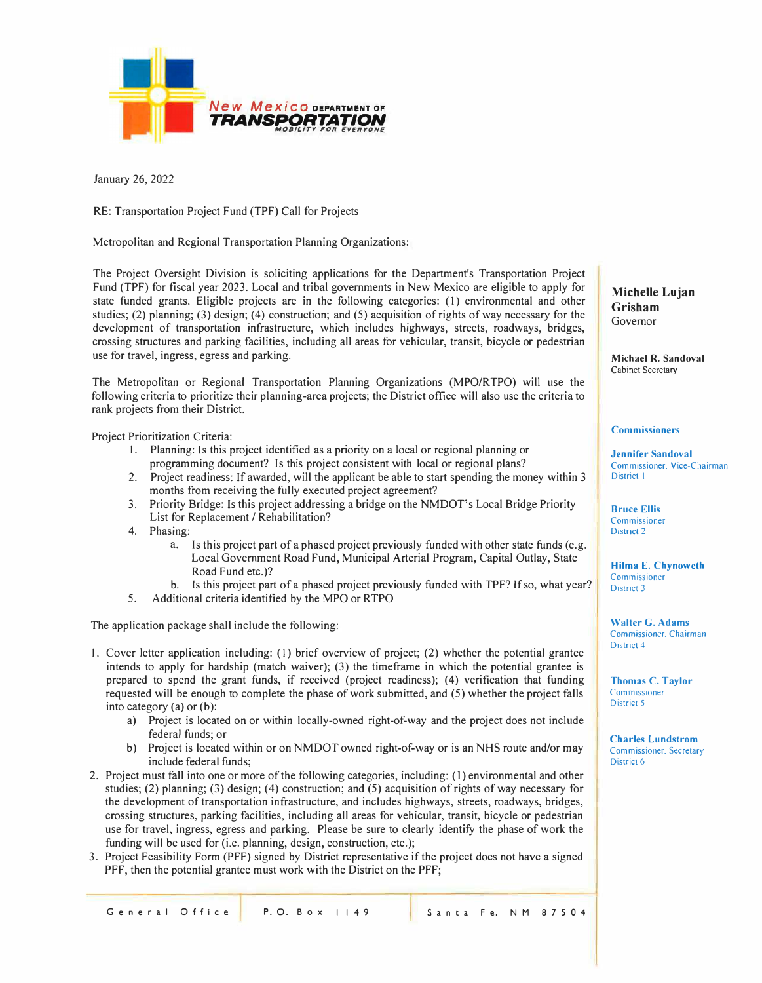

January 26, 2022

RE: Transportation Project Fund (TPF) Call for Projects

Metropolitan and Regional Transportation Planning Organizations:

The Project Oversight Division is soliciting applications for the Department's Transportation Project Fund (TPF) for fiscal year 2023. Local and tribal governments in New Mexico are eligible to apply for state funded grants. Eligible projects are in the following categories: (1) environmental and other studies; (2) planning; (3) design; (4) construction; and (5) acquisition of rights of way necessary for the development of transportation infrastructure, which includes highways, streets, roadways, bridges, crossing structures and parking facilities, including all areas for vehicular, transit, bicycle or pedestrian use for travel, ingress, egress and parking.

The Metropolitan or Regional Transportation Planning Organizations (MPO/RTPO) will use the following criteria to prioritize their planning-area projects; the District office will also use the criteria to rank projects from their District.

Project Prioritization Criteria:

- I. Planning: Is this project identified as a priority on a local or regional planning or programming document? ls this project consistent with local or regional plans?
- 2. Project readiness: If awarded, will the applicant be able to start spending the money within 3 months from receiving the fully executed project agreement?
- 3. Priority Bridge: Is this project addressing a bridge on the NMDOT's Local Bridge Priority List for Replacement / Rehabilitation?
- 4. Phasing:
	- a. Is this project part of a phased project previously funded with other state funds (e.g. Local Government Road Fund, Municipal Arterial Program, Capital Outlay, State Road Fund etc.)?
	- b. Is this project part of a phased project previously funded with TPF? If so, what year?
- 5. Additional criteria identified by the MPO or RTPO

The application package shall include the following:

- I. Cover letter application including: (I) brief overview of project; (2) whether the potential grantee intends to apply for hardship (match waiver); (3) the timeframe in which the potential grantee is prepared to spend the grant funds, if received (project readiness); (4) verification that funding requested will be enough to complete the phase of work submitted, and (5) whether the project falls into category (a) or (b):
	- a) Project is located on or within locally-owned right-of-way and the project does not include federal funds; or
	- b) Project is located within or on NMDOT owned right-of-way or is an NHS route and/or may include federal funds;
- 2. Project must fall into one or more of the following categories, including: (I) environmental and other studies; (2) planning; (3) design; (4) construction; and (5) acquisition of rights of way necessary for the development of transportation infrastructure, and includes highways, streets, roadways, bridges, crossing structures, parking facilities, including all areas for vehicular, transit, bicycle or pedestrian use for travel, ingress, egress and parking. Please be sure to clearly identify the phase of work the funding will be used for (i.e. planning, design, construction, etc.);
- 3. Project Feasibility Form (PFF) signed by District representative if the project does not have a signed PFF, then the potential grantee must work with the District on the PFF;

**Michelle Lujan Grisham**  Governor

**Michael R. Sandoval**  Cabinet Secretary

## **Commissioners**

**Jennifer Sandoval**  Commissioner. Vice-Chairman District I

**Bruce Ellis**  Commissioner District 2

**Hilma E. Chynoweth**  Commissioner District 3

**Walter G. Adams**  Commissioner. Chairman District 4

**Thomas C. Taylor**  Commissioner District 5

**Charles Lundstrom**  Commissioner. Secretary District 6